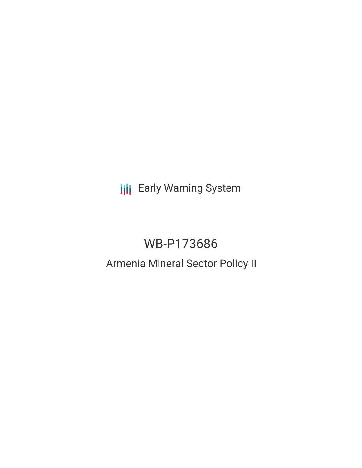**III** Early Warning System

# WB-P173686

## Armenia Mineral Sector Policy II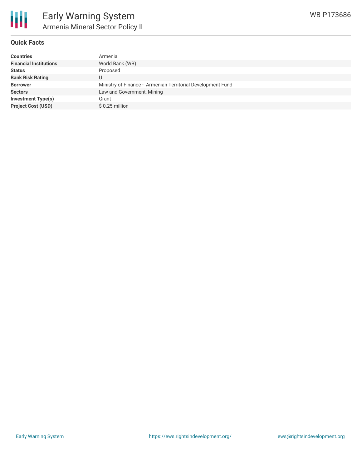

#### **Quick Facts**

| <b>Countries</b>              | Armenia                                                     |
|-------------------------------|-------------------------------------------------------------|
| <b>Financial Institutions</b> | World Bank (WB)                                             |
| <b>Status</b>                 | Proposed                                                    |
| <b>Bank Risk Rating</b>       |                                                             |
| <b>Borrower</b>               | Ministry of Finance - Armenian Territorial Development Fund |
| <b>Sectors</b>                | Law and Government, Mining                                  |
| Investment Type(s)            | Grant                                                       |
| <b>Project Cost (USD)</b>     | $$0.25$ million                                             |
|                               |                                                             |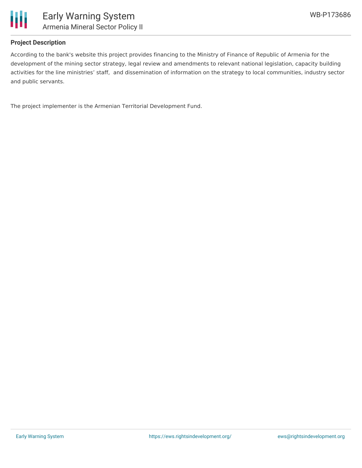

### **Project Description**

According to the bank's website this project provides financing to the Ministry of Finance of Republic of Armenia for the development of the mining sector strategy, legal review and amendments to relevant national legislation, capacity building activities for the line ministries' staff, and dissemination of information on the strategy to local communities, industry sector and public servants.

The project implementer is the Armenian Territorial Development Fund.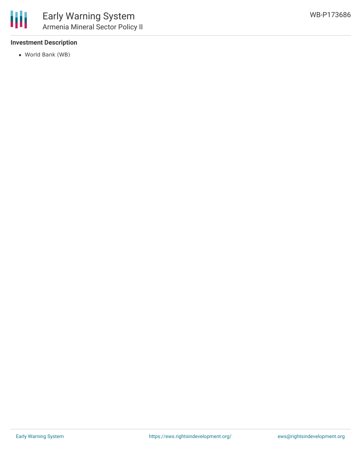### **Investment Description**

World Bank (WB)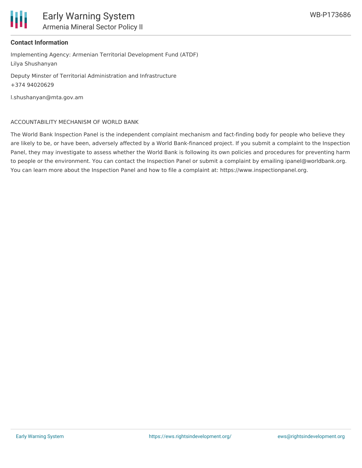

#### **Contact Information**

Implementing Agency: Armenian Territorial Development Fund (ATDF) Lilya Shushanyan

Deputy Minster of Territorial Administration and Infrastructure +374 94020629

l.shushanyan@mta.gov.am

#### ACCOUNTABILITY MECHANISM OF WORLD BANK

The World Bank Inspection Panel is the independent complaint mechanism and fact-finding body for people who believe they are likely to be, or have been, adversely affected by a World Bank-financed project. If you submit a complaint to the Inspection Panel, they may investigate to assess whether the World Bank is following its own policies and procedures for preventing harm to people or the environment. You can contact the Inspection Panel or submit a complaint by emailing ipanel@worldbank.org. You can learn more about the Inspection Panel and how to file a complaint at: https://www.inspectionpanel.org.